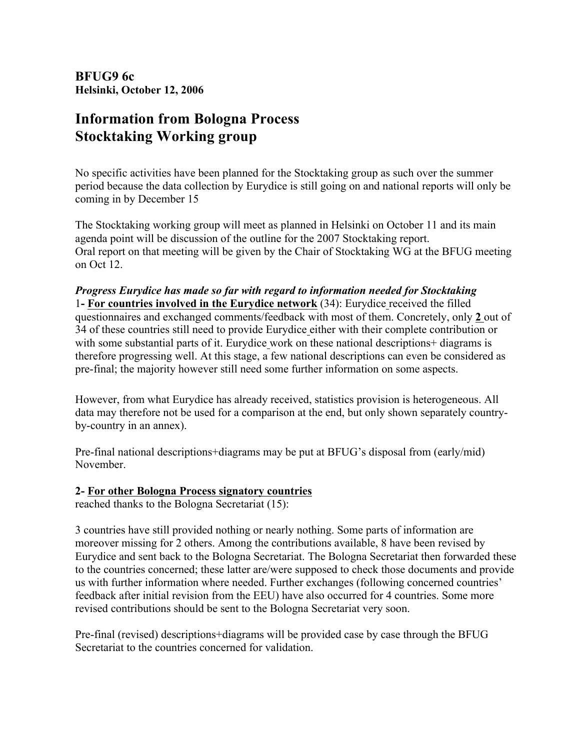**BFUG9 6c Helsinki, October 12, 2006**

## **Information from Bologna Process Stocktaking Working group**

No specific activities have been planned for the Stocktaking group as such over the summer period because the data collection by Eurydice is still going on and national reports will only be coming in by December 15

The Stocktaking working group will meet as planned in Helsinki on October 11 and its main agenda point will be discussion of the outline for the 2007 Stocktaking report. Oral report on that meeting will be given by the Chair of Stocktaking WG at the BFUG meeting on Oct 12.

*Progress Eurydice has made so far with regard to information needed for Stocktaking*  1**- For countries involved in the Eurydice network** (34): Eurydice received the filled questionnaires and exchanged comments/feedback with most of them. Concretely, only **2** out of 34 of these countries still need to provide Eurydice either with their complete contribution or with some substantial parts of it. Eurydice work on these national descriptions+ diagrams is therefore progressing well. At this stage, a few national descriptions can even be considered as pre-final; the majority however still need some further information on some aspects.

However, from what Eurydice has already received, statistics provision is heterogeneous. All data may therefore not be used for a comparison at the end, but only shown separately countryby-country in an annex).

Pre-final national descriptions+diagrams may be put at BFUG's disposal from (early/mid) November.

## **2- For other Bologna Process signatory countries**

reached thanks to the Bologna Secretariat (15):

3 countries have still provided nothing or nearly nothing. Some parts of information are moreover missing for 2 others. Among the contributions available, 8 have been revised by Eurydice and sent back to the Bologna Secretariat. The Bologna Secretariat then forwarded these to the countries concerned; these latter are/were supposed to check those documents and provide us with further information where needed. Further exchanges (following concerned countries' feedback after initial revision from the EEU) have also occurred for 4 countries. Some more revised contributions should be sent to the Bologna Secretariat very soon.

Pre-final (revised) descriptions+diagrams will be provided case by case through the BFUG Secretariat to the countries concerned for validation.